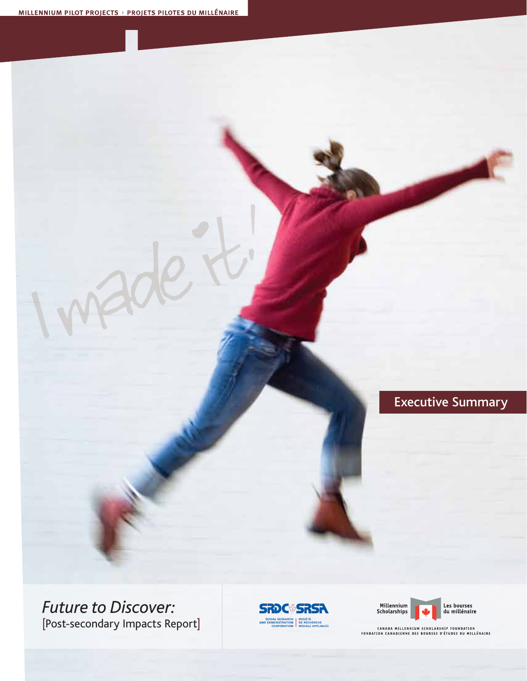I made it!

# Executive Summary

*Future to Discover:*  [Post-secondary Impacts Report]





CANADA MILLENNIUM SCHOLARSHIP FOUNDATION<br>FONDATION CANADIENNE DES BOURSES D'ÉTUDES DU MILLÉNAIRE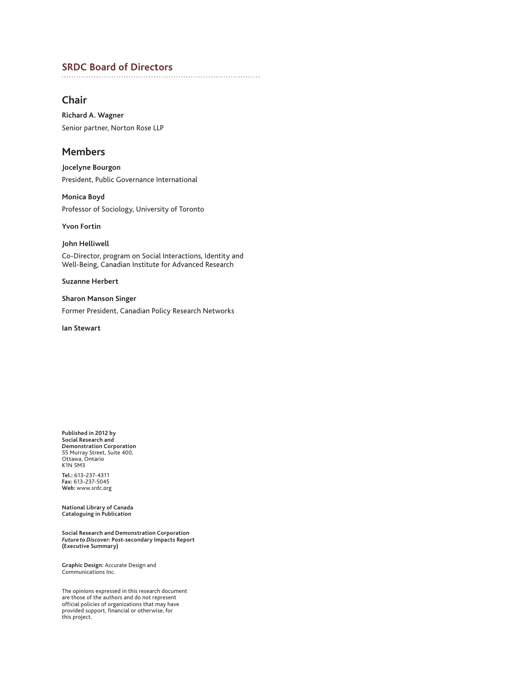### **SRDC Board of Directors**

### **Chair**

### **Richard A. Wagner**

Senior partner, Norton Rose LLP

### **Members**

**Jocelyne Bourgon** President, Public Governance International

### **Monica Boyd**

Professor of Sociology, University of Toronto

**Yvon Fortin**

### **John Helliwell**

Co-Director, program on Social Interactions, Identity and Well-Being, Canadian Institute for Advanced Research

### **Suzanne Herbert**

### **Sharon Manson Singer**

Former President, Canadian Policy Research Networks

#### **Ian Stewart**

**Published in 2012 by Social Research and Demonstration Corporation** 55 Murray Street, Suite 400, Ottawa, Ontario K1N 5M3

**Tel.:** 613-237-4311 **Fax:** 613-237-5045 **Web:** www.srdc.org

**National Library of Canada Cataloguing in Publication**

**Social Research and Demonstration Corporation** *Future to Discover***: Post-secondary Impacts Report (Executive Summary)**

**Graphic Design:** Accurate Design and Communications Inc.

The opinions expressed in this research document are those of the authors and do not represent official policies of organizations that may have provided support, financial or otherwise, for this project.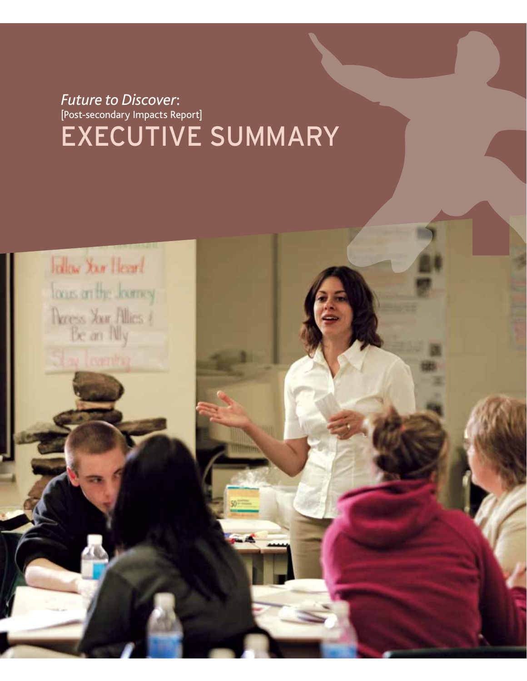# *Future to Discover*: [Post-secondary Impacts Report] EXECUTIVE SUMMARY

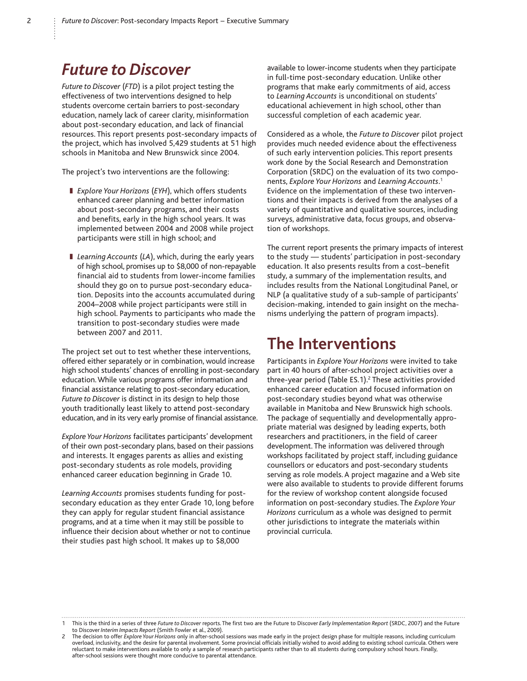# *Future to Discover*

*Future to Discover* (*FTD*) is a pilot project testing the effectiveness of two interventions designed to help students overcome certain barriers to post-secondary education, namely lack of career clarity, misinformation about post-secondary education, and lack of financial resources. This report presents post-secondary impacts of the project, which has involved 5,429 students at 51 high schools in Manitoba and New Brunswick since 2004.

The project's two interventions are the following:

- *Explore Your Horizons* (*EYH*), which offers students enhanced career planning and better information about post-secondary programs, and their costs and benefits, early in the high school years. It was implemented between 2004 and 2008 while project participants were still in high school; and
- *Learning Accounts* (*LA*), which, during the early years of high school, promises up to \$8,000 of non-repayable financial aid to students from lower-income families should they go on to pursue post-secondary education. Deposits into the accounts accumulated during 2004–2008 while project participants were still in high school. Payments to participants who made the transition to post-secondary studies were made between 2007 and 2011.

The project set out to test whether these interventions, offered either separately or in combination, would increase high school students' chances of enrolling in post-secondary education. While various programs offer information and financial assistance relating to post-secondary education, *Future to Discover* is distinct in its design to help those youth traditionally least likely to attend post-secondary education, and in its very early promise of financial assistance.

*Explore Your Horizons* facilitates participants' development of their own post-secondary plans, based on their passions and interests. It engages parents as allies and existing post-secondary students as role models, providing enhanced career education beginning in Grade 10.

*Learning Accounts* promises students funding for postsecondary education as they enter Grade 10, long before they can apply for regular student financial assistance programs, and at a time when it may still be possible to influence their decision about whether or not to continue their studies past high school. It makes up to \$8,000

available to lower-income students when they participate in full-time post-secondary education. Unlike other programs that make early commitments of aid, access to *Learning Accounts* is unconditional on students' educational achievement in high school, other than successful completion of each academic year.

Considered as a whole, the *Future to Discover* pilot project provides much needed evidence about the effectiveness of such early intervention policies. This report presents work done by the Social Research and Demonstration Corporation (SRDC) on the evaluation of its two components, *Explore Your Horizons* and *Learning Accounts*. 1 Evidence on the implementation of these two interventions and their impacts is derived from the analyses of a variety of quantitative and qualitative sources, including surveys, administrative data, focus groups, and observation of workshops.

The current report presents the primary impacts of interest to the study — students' participation in post-secondary education. It also presents results from a cost–benefit study, a summary of the implementation results, and includes results from the National Longitudinal Panel, or NLP (a qualitative study of a sub-sample of participants' decision-making, intended to gain insight on the mechanisms underlying the pattern of program impacts).

### **The Interventions**

Participants in *Explore Your Horizons* were invited to take part in 40 hours of after-school project activities over a three-year period (Table ES.1).<sup>2</sup> These activities provided enhanced career education and focused information on post-secondary studies beyond what was otherwise available in Manitoba and New Brunswick high schools. The package of sequentially and developmentally appropriate material was designed by leading experts, both researchers and practitioners, in the field of career development. The information was delivered through workshops facilitated by project staff, including guidance counsellors or educators and post-secondary students serving as role models. A project magazine and a Web site were also available to students to provide different forums for the review of workshop content alongside focused information on post-secondary studies. The *Explore Your Horizons* curriculum as a whole was designed to permit other jurisdictions to integrate the materials within provincial curricula.

<sup>1</sup> This is the third in a series of three *Future to Discover* reports. The first two are the Future to Discover *Early Implementation Report* (SRDC, 2007) and the Future to Discover *Interim Impacts Report* (Smith Fowler et al., 2009).

The decision to offer *Explore Your Horizons* only in after-school sessions was made early in the project design phase for multiple reasons, including curriculum<br>overload, inclusivity, and the desire for parental involveme reluctant to make interventions available to only a sample of research participants rather than to all students during compulsory school hours. Finally, after-school sessions were thought more conducive to parental attendance.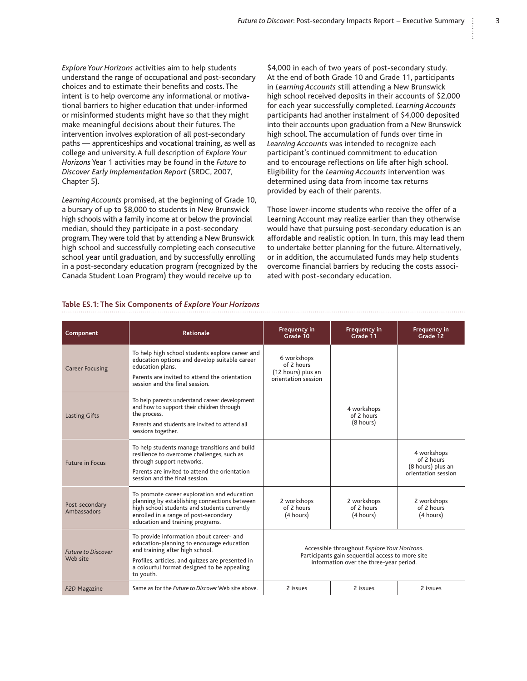*Explore Your Horizons* activities aim to help students understand the range of occupational and post-secondary choices and to estimate their benefits and costs. The intent is to help overcome any informational or motivational barriers to higher education that under-informed or misinformed students might have so that they might make meaningful decisions about their futures. The intervention involves exploration of all post-secondary paths — apprenticeships and vocational training, as well as college and university. A full description of *Explore Your Horizons* Year 1 activities may be found in the *Future to Discover Early Implementation Report* (SRDC, 2007, Chapter 5).

*Learning Accounts* promised, at the beginning of Grade 10, a bursary of up to \$8,000 to students in New Brunswick high schools with a family income at or below the provincial median, should they participate in a post-secondary program. They were told that by attending a New Brunswick high school and successfully completing each consecutive school year until graduation, and by successfully enrolling in a post-secondary education program (recognized by the Canada Student Loan Program) they would receive up to

\$4,000 in each of two years of post-secondary study. At the end of both Grade 10 and Grade 11, participants in *Learning Accounts* still attending a New Brunswick high school received deposits in their accounts of \$2,000 for each year successfully completed. *Learning Accounts* participants had another instalment of \$4,000 deposited into their accounts upon graduation from a New Brunswick high school. The accumulation of funds over time in *Learning Accounts* was intended to recognize each participant's continued commitment to education and to encourage reflections on life after high school. Eligibility for the *Learning Accounts* intervention was determined using data from income tax returns provided by each of their parents.

Those lower-income students who receive the offer of a Learning Account may realize earlier than they otherwise would have that pursuing post-secondary education is an affordable and realistic option. In turn, this may lead them to undertake better planning for the future. Alternatively, or in addition, the accumulated funds may help students overcome financial barriers by reducing the costs associated with post-secondary education.

| Component                             | <b>Rationale</b>                                                                                                                                                                                                                         | Frequency in<br>Grade 10                                                                                                                    | Frequency in<br>Grade 11               | Frequency in<br>Grade 12                                              |
|---------------------------------------|------------------------------------------------------------------------------------------------------------------------------------------------------------------------------------------------------------------------------------------|---------------------------------------------------------------------------------------------------------------------------------------------|----------------------------------------|-----------------------------------------------------------------------|
| <b>Career Focusing</b>                | To help high school students explore career and<br>education options and develop suitable career<br>education plans.<br>Parents are invited to attend the orientation<br>session and the final session.                                  | 6 workshops<br>of 2 hours<br>(12 hours) plus an<br>orientation session                                                                      |                                        |                                                                       |
| <b>Lasting Gifts</b>                  | To help parents understand career development<br>and how to support their children through<br>the process.<br>Parents and students are invited to attend all<br>sessions together.                                                       |                                                                                                                                             | 4 workshops<br>of 2 hours<br>(8 hours) |                                                                       |
| <b>Future in Focus</b>                | To help students manage transitions and build<br>resilience to overcome challenges, such as<br>through support networks.<br>Parents are invited to attend the orientation<br>session and the final session.                              |                                                                                                                                             |                                        | 4 workshops<br>of 2 hours<br>(8 hours) plus an<br>orientation session |
| Post-secondary<br>Ambassadors         | To promote career exploration and education<br>planning by establishing connections between<br>high school students and students currently<br>enrolled in a range of post-secondary<br>education and training programs.                  | 2 workshops<br>of 2 hours<br>(4 hours)                                                                                                      | 2 workshops<br>of 2 hours<br>(4 hours) | 2 workshops<br>of 2 hours<br>(4 hours)                                |
| <b>Future to Discover</b><br>Web site | To provide information about career- and<br>education-planning to encourage education<br>and training after high school.<br>Profiles, articles, and quizzes are presented in<br>a colourful format designed to be appealing<br>to youth. | Accessible throughout Explore Your Horizons.<br>Participants gain sequential access to more site<br>information over the three-year period. |                                        |                                                                       |
| <b>F2D Magazine</b>                   | Same as for the <i>Future to Discover</i> Web site above.                                                                                                                                                                                | 2 issues                                                                                                                                    | 2 issues                               | 2 issues                                                              |

#### **Table ES.1: The Six Components of** *Explore Your Horizons*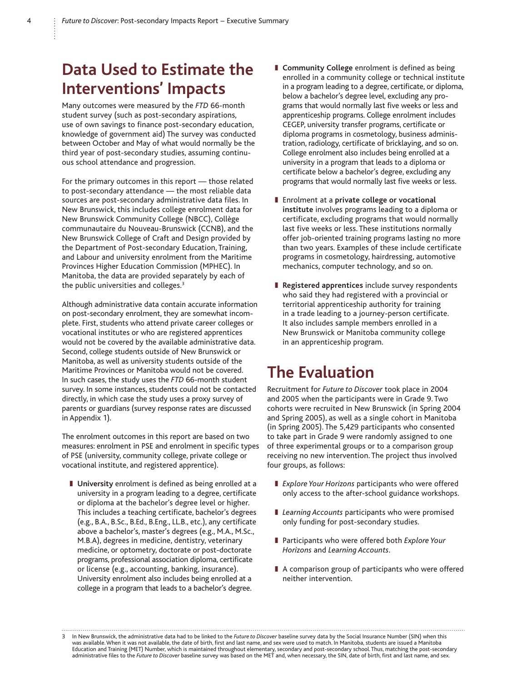# **Data Used to Estimate the Interventions' Impacts**

Many outcomes were measured by the *FTD* 66-month student survey (such as post-secondary aspirations, use of own savings to finance post-secondary education, knowledge of government aid) The survey was conducted between October and May of what would normally be the third year of post-secondary studies, assuming continuous school attendance and progression.

For the primary outcomes in this report — those related to post-secondary attendance — the most reliable data sources are post-secondary administrative data files. In New Brunswick, this includes college enrolment data for New Brunswick Community College (NBCC), Collège communautaire du Nouveau-Brunswick (CCNB), and the New Brunswick College of Craft and Design provided by the Department of Post-secondary Education, Training, and Labour and university enrolment from the Maritime Provinces Higher Education Commission (MPHEC). In Manitoba, the data are provided separately by each of the public universities and colleges.<sup>3</sup>

Although administrative data contain accurate information on post-secondary enrolment, they are somewhat incomplete. First, students who attend private career colleges or vocational institutes or who are registered apprentices would not be covered by the available administrative data. Second, college students outside of New Brunswick or Manitoba, as well as university students outside of the Maritime Provinces or Manitoba would not be covered. In such cases, the study uses the *FTD* 66-month student survey. In some instances, students could not be contacted directly, in which case the study uses a proxy survey of parents or guardians (survey response rates are discussed in Appendix 1).

The enrolment outcomes in this report are based on two measures: enrolment in PSE and enrolment in specific types of PSE (university, community college, private college or vocational institute, and registered apprentice).

■ **University** enrolment is defined as being enrolled at a university in a program leading to a degree, certificate or diploma at the bachelor's degree level or higher. This includes a teaching certificate, bachelor's degrees (e.g., B.A., B.Sc., B.Ed., B.Eng., LL.B., etc.), any certificate above a bachelor's, master's degrees (e.g., M.A., M.Sc., M.B.A), degrees in medicine, dentistry, veterinary medicine, or optometry, doctorate or post-doctorate programs, professional association diploma, certificate or license (e.g., accounting, banking, insurance). University enrolment also includes being enrolled at a college in a program that leads to a bachelor's degree.

- **Community College** enrolment is defined as being enrolled in a community college or technical institute in a program leading to a degree, certificate, or diploma, below a bachelor's degree level, excluding any programs that would normally last five weeks or less and apprenticeship programs. College enrolment includes CEGEP, university transfer programs, certificate or diploma programs in cosmetology, business administration, radiology, certificate of bricklaying, and so on. College enrolment also includes being enrolled at a university in a program that leads to a diploma or certificate below a bachelor's degree, excluding any programs that would normally last five weeks or less.
- Enrolment at a private college or vocational **institute** involves programs leading to a diploma or certificate, excluding programs that would normally last five weeks or less. These institutions normally offer job-oriented training programs lasting no more than two years. Examples of these include certificate programs in cosmetology, hairdressing, automotive mechanics, computer technology, and so on.
- **Registered apprentices** include survey respondents who said they had registered with a provincial or territorial apprenticeship authority for training in a trade leading to a journey-person certificate. It also includes sample members enrolled in a New Brunswick or Manitoba community college in an apprenticeship program.

# **The Evaluation**

Recruitment for *Future to Discover* took place in 2004 and 2005 when the participants were in Grade 9. Two cohorts were recruited in New Brunswick (in Spring 2004 and Spring 2005), as well as a single cohort in Manitoba (in Spring 2005). The 5,429 participants who consented to take part in Grade 9 were randomly assigned to one of three experimental groups or to a comparison group receiving no new intervention. The project thus involved four groups, as follows:

- *Explore Your Horizons* participants who were offered only access to the after-school guidance workshops.
- *Learning Accounts* participants who were promised only funding for post-secondary studies.
- Participants who were offered both *Explore Your Horizons* and *Learning Accounts*.
- A comparison group of participants who were offered neither intervention.

3 In New Brunswick, the administrative data had to be linked to the *Future to Discover* baseline survey data by the Social Insurance Number (SIN) when this was available. When it was not available, the date of birth, first and last name, and sex were used to match. In Manitoba, students are issued a Manitoba Education and Training (MET) Number, which is maintained throughout elementary, secondary and post-secondary school. Thus, matching the post-secondary administrative files to the *Future to Discover* baseline survey was based on the MET and, when necessary, the SIN, date of birth, first and last name, and sex.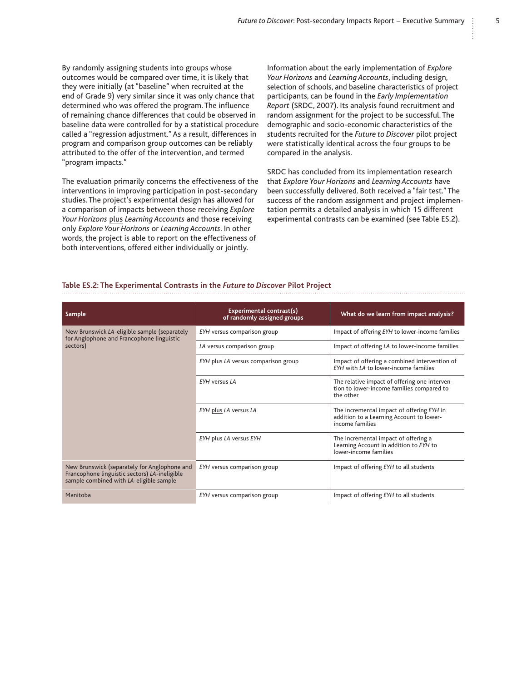By randomly assigning students into groups whose outcomes would be compared over time, it is likely that they were initially (at "baseline" when recruited at the end of Grade 9) very similar since it was only chance that determined who was offered the program. The influence of remaining chance differences that could be observed in baseline data were controlled for by a statistical procedure called a "regression adjustment." As a result, differences in program and comparison group outcomes can be reliably attributed to the offer of the intervention, and termed "program impacts."

The evaluation primarily concerns the effectiveness of the interventions in improving participation in post-secondary studies. The project's experimental design has allowed for a comparison of impacts between those receiving *Explore Your Horizons* plus *Learning Accounts* and those receiving only *Explore Your Horizons* or *Learning Accounts*. In other words, the project is able to report on the effectiveness of both interventions, offered either individually or jointly.

Information about the early implementation of *Explore Your Horizons* and *Learning Accounts*, including design, selection of schools, and baseline characteristics of project participants, can be found in the *Early Implementation Report* (SRDC, 2007). Its analysis found recruitment and random assignment for the project to be successful. The demographic and socio-economic characteristics of the students recruited for the *Future to Discover* pilot project were statistically identical across the four groups to be compared in the analysis.

SRDC has concluded from its implementation research that *Explore Your Horizons* and *Learning Accounts* have been successfully delivered. Both received a "fair test." The success of the random assignment and project implementation permits a detailed analysis in which 15 different experimental contrasts can be examined (see Table ES.2).

#### **Table ES.2: The Experimental Contrasts in the** *Future to Discover* **Pilot Project**

| Sample                                                                                                                                   | Experimental contrast(s)<br>of randomly assigned groups | What do we learn from impact analysis?                                                                   |
|------------------------------------------------------------------------------------------------------------------------------------------|---------------------------------------------------------|----------------------------------------------------------------------------------------------------------|
| New Brunswick LA-eligible sample (separately<br>for Anglophone and Francophone linguistic                                                | EYH versus comparison group                             | Impact of offering EYH to lower-income families                                                          |
| sectors)                                                                                                                                 | LA versus comparison group                              | Impact of offering LA to lower-income families                                                           |
|                                                                                                                                          | EYH plus LA versus comparison group                     | Impact of offering a combined intervention of<br>EYH with LA to lower-income families                    |
|                                                                                                                                          | <b>EYH versus LA</b>                                    | The relative impact of offering one interven-<br>tion to lower-income families compared to<br>the other  |
|                                                                                                                                          | EYH plus LA versus LA                                   | The incremental impact of offering EYH in<br>addition to a Learning Account to lower-<br>income families |
|                                                                                                                                          | EYH plus LA versus EYH                                  | The incremental impact of offering a<br>Learning Account in addition to EYH to<br>lower-income families  |
| New Brunswick (separately for Anglophone and<br>Francophone linguistic sectors) LA-ineligible<br>sample combined with LA-eligible sample | EYH versus comparison group                             | Impact of offering EYH to all students                                                                   |
| Manitoba                                                                                                                                 | EYH versus comparison group                             | Impact of offering EYH to all students                                                                   |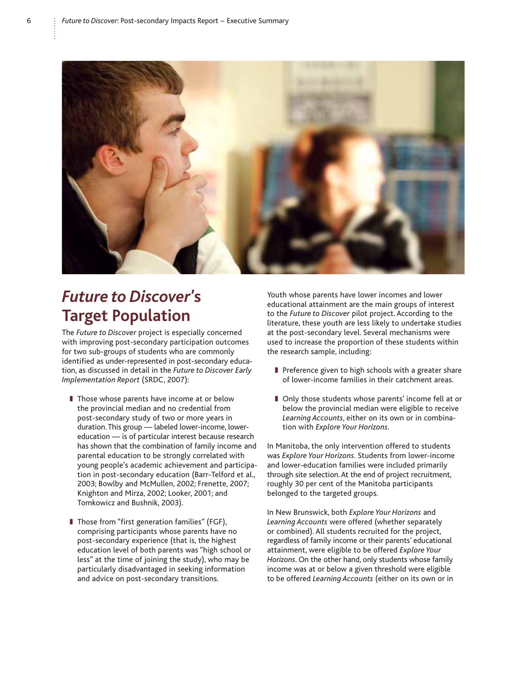

# *Future to Discover***'s Target Population**

The *Future to Discover* project is especially concerned with improving post-secondary participation outcomes for two sub-groups of students who are commonly identified as under-represented in post-secondary education, as discussed in detail in the *Future to Discover Early Implementation Report* (SRDC, 2007):

- Those whose parents have income at or below the provincial median and no credential from post-secondary study of two or more years in duration. This group — labeled lower-income, lowereducation — is of particular interest because research has shown that the combination of family income and parental education to be strongly correlated with young people's academic achievement and participation in post-secondary education (Barr-Telford et al., 2003; Bowlby and McMullen, 2002; Frenette, 2007; Knighton and Mirza, 2002; Looker, 2001; and Tomkowicz and Bushnik, 2003).
- Those from "first generation families" (FGF), comprising participants whose parents have no post-secondary experience (that is, the highest education level of both parents was "high school or less" at the time of joining the study), who may be particularly disadvantaged in seeking information and advice on post-secondary transitions.

Youth whose parents have lower incomes and lower educational attainment are the main groups of interest to the *Future to Discover* pilot project. According to the literature, these youth are less likely to undertake studies at the post-secondary level. Several mechanisms were used to increase the proportion of these students within the research sample, including:

- Preference given to high schools with a greater share of lower-income families in their catchment areas.
- Only those students whose parents' income fell at or below the provincial median were eligible to receive *Learning Accounts*, either on its own or in combination with *Explore Your Horizons*.

In Manitoba, the only intervention offered to students was *Explore Your Horizons*. Students from lower-income and lower-education families were included primarily through site selection. At the end of project recruitment, roughly 30 per cent of the Manitoba participants belonged to the targeted groups.

In New Brunswick, both *Explore Your Horizons* and *Learning Accounts* were offered (whether separately or combined). All students recruited for the project, regardless of family income or their parents' educational attainment, were eligible to be offered *Explore Your Horizons*. On the other hand, only students whose family income was at or below a given threshold were eligible to be offered *Learning Accounts* (either on its own or in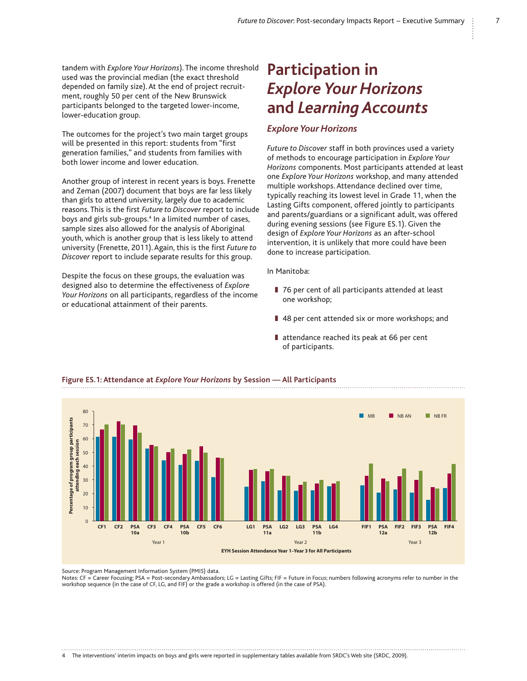tandem with *Explore Your Horizons*). The income threshold used was the provincial median (the exact threshold depended on family size). At the end of project recruitment, roughly 50 per cent of the New Brunswick participants belonged to the targeted lower-income, lower-education group.

The outcomes for the project's two main target groups will be presented in this report: students from "first generation families," and students from families with both lower income and lower education.

Another group of interest in recent years is boys. Frenette and Zeman (2007) document that boys are far less likely than girls to attend university, largely due to academic reasons. This is the first *Future to Discover* report to include boys and girls sub-groups.4 In a limited number of cases, sample sizes also allowed for the analysis of Aboriginal youth, which is another group that is less likely to attend university (Frenette, 2011). Again, this is the first *Future to Discover* report to include separate results for this group.

Despite the focus on these groups, the evaluation was designed also to determine the effectiveness of *Explore Your Horizons* on all participants, regardless of the income or educational attainment of their parents.

# **Participation in**  *Explore Your Horizons* **and** *Learning Accounts*

### *Explore Your Horizons*

*Future to Discover* staff in both provinces used a variety of methods to encourage participation in *Explore Your Horizons* components. Most participants attended at least one *Explore Your Horizons* workshop, and many attended multiple workshops. Attendance declined over time, typically reaching its lowest level in Grade 11, when the Lasting Gifts component, offered jointly to participants and parents/guardians or a significant adult, was offered during evening sessions (see Figure ES.1). Given the design of *Explore Your Horizons* as an after-school intervention, it is unlikely that more could have been done to increase participation.

In Manitoba:

- 76 per cent of all participants attended at least one workshop;
- 48 per cent attended six or more workshops; and
- attendance reached its peak at 66 per cent of participants.



#### **Figure ES.1: Attendance at** *Explore Your Horizons* **by Session — All Participants**

Source: Program Management Information System (PMIS) data.

Notes: CF = Career Focusing; PSA = Post-secondary Ambassadors; LG = Lasting Gifts; FIF = Future in Focus; numbers following acronyms refer to number in the<br>workshop sequence (in the case of CF, LG, and FIF) or the grade a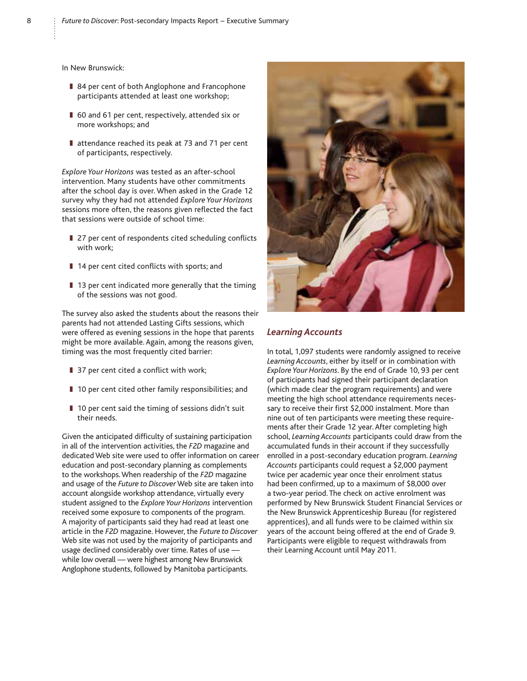In New Brunswick:

- 84 per cent of both Anglophone and Francophone participants attended at least one workshop;
- 60 and 61 per cent, respectively, attended six or more workshops; and
- attendance reached its peak at 73 and 71 per cent of participants, respectively.

*Explore Your Horizons* was tested as an after-school intervention. Many students have other commitments after the school day is over. When asked in the Grade 12 survey why they had not attended *Explore Your Horizons* sessions more often, the reasons given reflected the fact that sessions were outside of school time:

- 27 per cent of respondents cited scheduling conflicts with work;
- 14 per cent cited conflicts with sports; and
- 13 per cent indicated more generally that the timing of the sessions was not good.

The survey also asked the students about the reasons their parents had not attended Lasting Gifts sessions, which were offered as evening sessions in the hope that parents might be more available. Again, among the reasons given, timing was the most frequently cited barrier:

- 37 per cent cited a conflict with work;
- 10 per cent cited other family responsibilities; and
- 10 per cent said the timing of sessions didn't suit their needs.

Given the anticipated difficulty of sustaining participation in all of the intervention activities, the *F2D* magazine and dedicated Web site were used to offer information on career education and post-secondary planning as complements to the workshops. When readership of the *F2D* magazine and usage of the *Future to Discover* Web site are taken into account alongside workshop attendance, virtually every student assigned to the *Explore Your Horizons* intervention received some exposure to components of the program. A majority of participants said they had read at least one article in the *F2D* magazine. However, the *Future to Discover* Web site was not used by the majority of participants and usage declined considerably over time. Rates of use while low overall — were highest among New Brunswick Anglophone students, followed by Manitoba participants.



### *Learning Accounts*

In total, 1,097 students were randomly assigned to receive *Learning Accounts*, either by itself or in combination with *Explore Your Horizons*. By the end of Grade 10, 93 per cent of participants had signed their participant declaration (which made clear the program requirements) and were meeting the high school attendance requirements necessary to receive their first \$2,000 instalment. More than nine out of ten participants were meeting these requirements after their Grade 12 year. After completing high school, *Learning Accounts* participants could draw from the accumulated funds in their account if they successfully enrolled in a post-secondary education program. *Learning Accounts* participants could request a \$2,000 payment twice per academic year once their enrolment status had been confirmed, up to a maximum of \$8,000 over a two-year period. The check on active enrolment was performed by New Brunswick Student Financial Services or the New Brunswick Apprenticeship Bureau (for registered apprentices), and all funds were to be claimed within six years of the account being offered at the end of Grade 9. Participants were eligible to request withdrawals from their Learning Account until May 2011.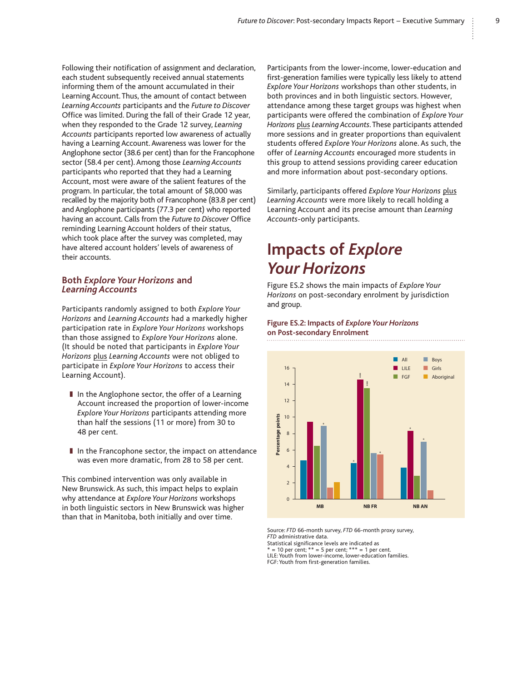Following their notification of assignment and declaration, each student subsequently received annual statements informing them of the amount accumulated in their Learning Account. Thus, the amount of contact between *Learning Accounts* participants and the *Future to Discover* Office was limited. During the fall of their Grade 12 year, when they responded to the Grade 12 survey, *Learning Accounts* participants reported low awareness of actually having a Learning Account. Awareness was lower for the Anglophone sector (38.6 per cent) than for the Francophone sector (58.4 per cent). Among those *Learning Accounts* participants who reported that they had a Learning Account, most were aware of the salient features of the program. In particular, the total amount of \$8,000 was recalled by the majority both of Francophone (83.8 per cent) and Anglophone participants (77.3 per cent) who reported having an account. Calls from the *Future to Discover* Office reminding Learning Account holders of their status, which took place after the survey was completed, may have altered account holders' levels of awareness of their accounts.

### **Both** *Explore Your Horizons* **and**  *Learning Accounts*

Participants randomly assigned to both *Explore Your Horizons* and *Learning Accounts* had a markedly higher participation rate in *Explore Your Horizons* workshops than those assigned to *Explore Your Horizons* alone. (It should be noted that participants in *Explore Your Horizons* plus *Learning Accounts* were not obliged to participate in *Explore Your Horizons* to access their Learning Account).

- In the Anglophone sector, the offer of a Learning Account increased the proportion of lower-income *Explore Your Horizons* participants attending more than half the sessions (11 or more) from 30 to 48 per cent.
- In the Francophone sector, the impact on attendance was even more dramatic, from 28 to 58 per cent.

This combined intervention was only available in New Brunswick. As such, this impact helps to explain why attendance at *Explore Your Horizons* workshops in both linguistic sectors in New Brunswick was higher than that in Manitoba, both initially and over time.

Participants from the lower-income, lower-education and first-generation families were typically less likely to attend *Explore Your Horizons* workshops than other students, in both provinces and in both linguistic sectors. However, attendance among these target groups was highest when participants were offered the combination of *Explore Your Horizons* plus *Learning Accounts*. These participants attended more sessions and in greater proportions than equivalent students offered *Explore Your Horizons* alone. As such, the offer of *Learning Accounts* encouraged more students in this group to attend sessions providing career education and more information about post-secondary options.

Similarly, participants offered *Explore Your Horizons* plus *Learning Accounts* were more likely to recall holding a Learning Account and its precise amount than *Learning Accounts*-only participants.

# **Impacts of** *Explore Your Horizons*

Figure ES.2 shows the main impacts of *Explore Your Horizons* on post-secondary enrolment by jurisdiction and group.

### **Figure ES.2: Impacts of** *Explore Your Horizons* **on Post-secondary Enrolment**



Source: *FTD* 66-month survey, *FTD* 66-month proxy survey, *FTD* administrative data.

Statistical significance levels are indicated as \* = 10 per cent; \*\* = 5 per cent; \*\*\* = 1 per cent.

LILE: Youth from lower-income, lower-education families. FGF: Youth from first-generation families.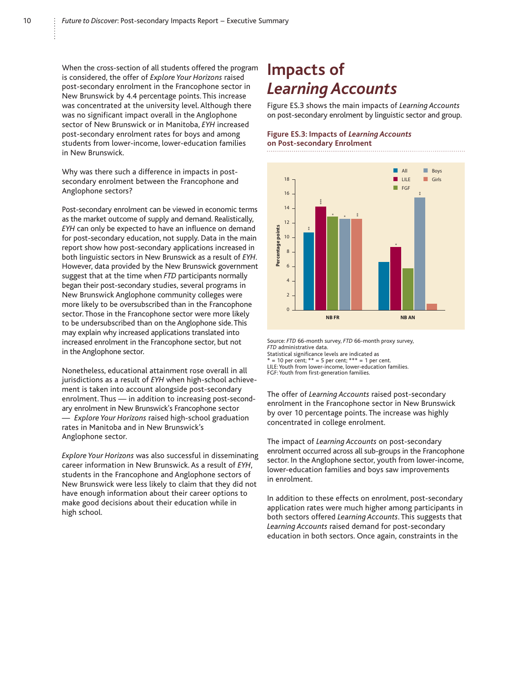When the cross-section of all students offered the program is considered, the offer of *Explore Your Horizons* raised post-secondary enrolment in the Francophone sector in New Brunswick by 4.4 percentage points. This increase was concentrated at the university level. Although there was no significant impact overall in the Anglophone sector of New Brunswick or in Manitoba, *EYH* increased post-secondary enrolment rates for boys and among students from lower-income, lower-education families in New Brunswick.

Why was there such a difference in impacts in postsecondary enrolment between the Francophone and Anglophone sectors?

Post-secondary enrolment can be viewed in economic terms as the market outcome of supply and demand. Realistically, *EYH* can only be expected to have an influence on demand for post-secondary education, not supply. Data in the main report show how post-secondary applications increased in both linguistic sectors in New Brunswick as a result of *EYH*. However, data provided by the New Brunswick government suggest that at the time when *FTD* participants normally began their post-secondary studies, several programs in New Brunswick Anglophone community colleges were more likely to be oversubscribed than in the Francophone sector. Those in the Francophone sector were more likely to be undersubscribed than on the Anglophone side. This may explain why increased applications translated into increased enrolment in the Francophone sector, but not in the Anglophone sector.

Nonetheless, educational attainment rose overall in all jurisdictions as a result of *EYH* when high-school achievement is taken into account alongside post-secondary enrolment. Thus — in addition to increasing post-secondary enrolment in New Brunswick's Francophone sector — *Explore Your Horizons* raised high-school graduation rates in Manitoba and in New Brunswick's Anglophone sector.

*Explore Your Horizons* was also successful in disseminating career information in New Brunswick. As a result of *EYH*, students in the Francophone and Anglophone sectors of New Brunswick were less likely to claim that they did not have enough information about their career options to make good decisions about their education while in high school.

# **Impacts of**  *Learning Accounts*

Figure ES.3 shows the main impacts of *Learning Accounts* on post-secondary enrolment by linguistic sector and group.

#### **Figure ES.3: Impacts of** *Learning Accounts* **on Post-secondary Enrolment**



Source: *FTD* 66-month survey, *FTD* 66-month proxy survey, *FTD* administrative data.

Statistical significance levels are indicated as  $* = 10$  per cent;  $** = 5$  per cent;  $*** = 1$  per cent. LILE: Youth from lower-income, lower-education families. FGF: Youth from first-generation families.

The offer of *Learning Accounts* raised post-secondary enrolment in the Francophone sector in New Brunswick by over 10 percentage points. The increase was highly concentrated in college enrolment.

The impact of *Learning Accounts* on post-secondary enrolment occurred across all sub-groups in the Francophone sector. In the Anglophone sector, youth from lower-income, lower-education families and boys saw improvements in enrolment.

In addition to these effects on enrolment, post-secondary application rates were much higher among participants in both sectors offered *Learning Accounts*. This suggests that *Learning Accounts* raised demand for post-secondary education in both sectors. Once again, constraints in the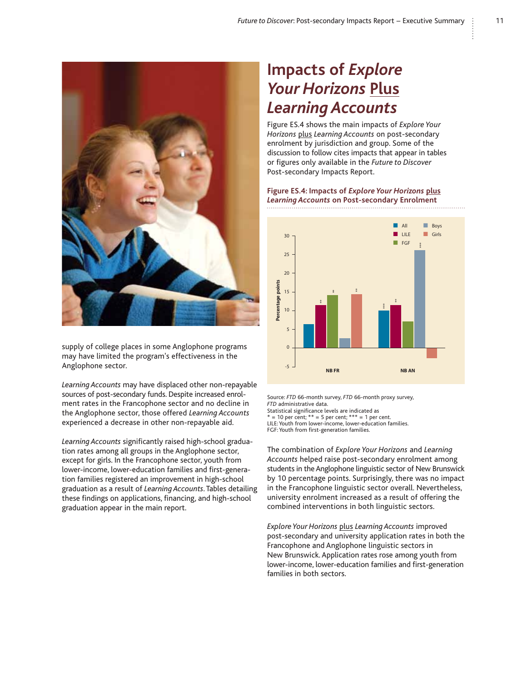

supply of college places in some Anglophone programs may have limited the program's effectiveness in the Anglophone sector.

*Learning Accounts* may have displaced other non-repayable sources of post-secondary funds. Despite increased enrolment rates in the Francophone sector and no decline in the Anglophone sector, those offered *Learning Accounts* experienced a decrease in other non-repayable aid.

*Learning Accounts* significantly raised high-school graduation rates among all groups in the Anglophone sector, except for girls. In the Francophone sector, youth from lower-income, lower-education families and first-generation families registered an improvement in high-school graduation as a result of *Learning Accounts*. Tables detailing these findings on applications, financing, and high-school graduation appear in the main report.

# **Impacts of** *Explore Your Horizons* **Plus** *Learning Accounts*

Figure ES.4 shows the main impacts of *Explore Your Horizons* plus *Learning Accounts* on post-secondary enrolment by jurisdiction and group. Some of the discussion to follow cites impacts that appear in tables or figures only available in the *Future to Discover* Post-secondary Impacts Report.

### **Figure ES.4: Impacts of** *Explore Your Horizons* **plus** *Learning Accounts* **on Post-secondary Enrolment**



Source: *FTD* 66-month survey, *FTD* 66-month proxy survey, *FTD* administrative data.

Statistical significance levels are indicated as \* = 10 per cent; \*\* = 5 per cent; \*\*\* = 1 per cent. LILE: Youth from lower-income, lower-education families. FGF: Youth from first-generation families.

The combination of *Explore Your Horizons* and *Learning Accounts* helped raise post-secondary enrolment among students in the Anglophone linguistic sector of New Brunswick by 10 percentage points. Surprisingly, there was no impact in the Francophone linguistic sector overall. Nevertheless, university enrolment increased as a result of offering the combined interventions in both linguistic sectors.

*Explore Your Horizons* plus *Learning Accounts* improved post-secondary and university application rates in both the Francophone and Anglophone linguistic sectors in New Brunswick. Application rates rose among youth from lower-income, lower-education families and first-generation families in both sectors.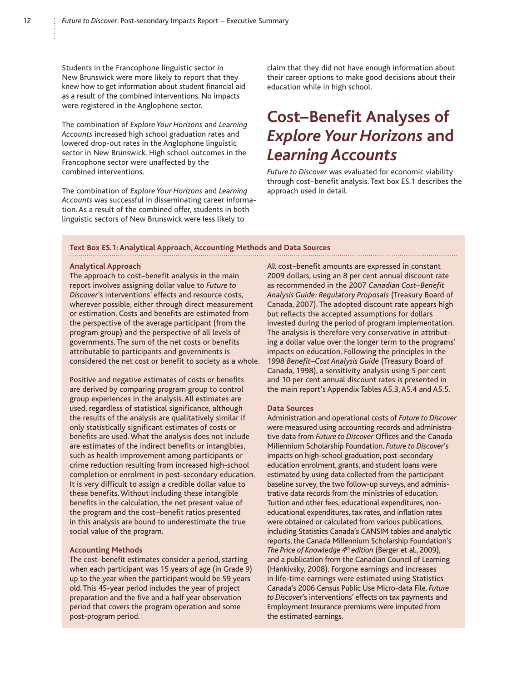Students in the Francophone linguistic sector in New Brunswick were more likely to report that they knew how to get information about student financial aid as a result of the combined interventions. No impacts were registered in the Anglophone sector.

The combination of *Explore Your Horizons* and *Learning Accounts* increased high school graduation rates and lowered drop-out rates in the Anglophone linguistic sector in New Brunswick. High school outcomes in the Francophone sector were unaffected by the combined interventions.

The combination of *Explore Your Horizons* and *Learning Accounts* was successful in disseminating career information. As a result of the combined offer, students in both linguistic sectors of New Brunswick were less likely to

claim that they did not have enough information about their career options to make good decisions about their education while in high school.

# **Cost–Benefit Analyses of**  *Explore Your Horizons* **and**  *Learning Accounts*

*Future to Discover* was evaluated for economic viability through cost–benefit analysis. Text box ES.1 describes the approach used in detail.

#### **Text Box ES.1: Analytical Approach, Accounting Methods and Data Sources**

#### **Analytical Approach**

The approach to cost–benefit analysis in the main report involves assigning dollar value to *Future to Discover*'s interventions' effects and resource costs, wherever possible, either through direct measurement or estimation. Costs and benefits are estimated from the perspective of the average participant (from the program group) and the perspective of all levels of governments. The sum of the net costs or benefits attributable to participants and governments is considered the net cost or benefit to society as a whole.

Positive and negative estimates of costs or benefits are derived by comparing program group to control group experiences in the analysis. All estimates are used, regardless of statistical significance, although the results of the analysis are qualitatively similar if only statistically significant estimates of costs or benefits are used. What the analysis does not include are estimates of the indirect benefits or intangibles, such as health improvement among participants or crime reduction resulting from increased high-school completion or enrolment in post-secondary education. It is very difficult to assign a credible dollar value to these benefits. Without including these intangible benefits in the calculation, the net present value of the program and the cost–benefit ratios presented in this analysis are bound to underestimate the true social value of the program.

#### **Accounting Methods**

The cost–benefit estimates consider a period, starting when each participant was 15 years of age (in Grade 9) up to the year when the participant would be 59 years old. This 45-year period includes the year of project preparation and the five and a half year observation period that covers the program operation and some post-program period.

All cost–benefit amounts are expressed in constant 2009 dollars, using an 8 per cent annual discount rate as recommended in the 2007 *Canadian Cost–Benefit Analysis Guide: Regulatory Proposals* (Treasury Board of Canada, 2007). The adopted discount rate appears high but reflects the accepted assumptions for dollars invested during the period of program implementation. The analysis is therefore very conservative in attributing a dollar value over the longer term to the programs' impacts on education. Following the principles in the 1998 *Benefit–Cost Analysis Guide* (Treasury Board of Canada, 1998), a sensitivity analysis using 5 per cent and 10 per cent annual discount rates is presented in the main report's Appendix Tables A5.3, A5.4 and A5.5.

#### **Data Sources**

Administration and operational costs of *Future to Discover* were measured using accounting records and administrative data from *Future to Discover* Offices and the Canada Millennium Scholarship Foundation. *Future to Discover*'s impacts on high-school graduation, post-secondary education enrolment, grants, and student loans were estimated by using data collected from the participant baseline survey, the two follow-up surveys, and administrative data records from the ministries of education. Tuition and other fees, educational expenditures, noneducational expenditures, tax rates, and inflation rates were obtained or calculated from various publications, including Statistics Canada's CANSIM tables and analytic reports, the Canada Millennium Scholarship Foundation's *The Price of Knowledge 4th edition* (Berger et al., 2009), and a publication from the Canadian Council of Learning (Hankivsky, 2008). Forgone earnings and increases in life-time earnings were estimated using Statistics Canada's 2006 Census Public Use Micro-data File. *Future to Discover*'s interventions' effects on tax payments and Employment Insurance premiums were imputed from the estimated earnings.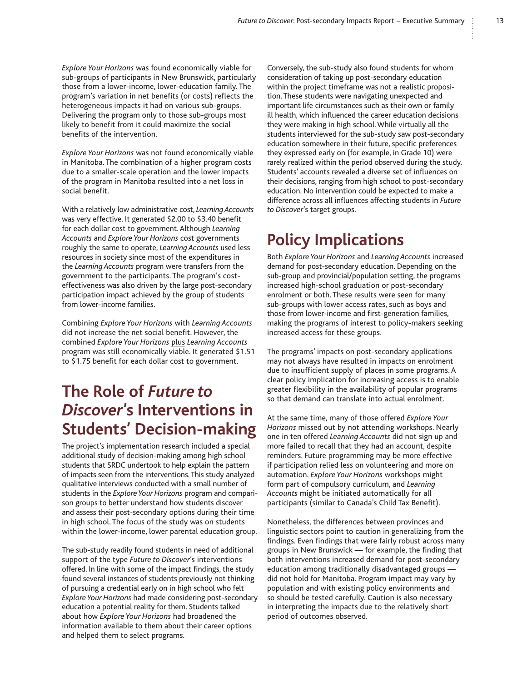*Explore Your Horizons* was found economically viable for sub-groups of participants in New Brunswick, particularly those from a lower-income, lower-education family. The program's variation in net benefits (or costs) reflects the heterogeneous impacts it had on various sub-groups. Delivering the program only to those sub-groups most likely to benefit from it could maximize the social benefits of the intervention.

*Explore Your Horizons* was not found economically viable in Manitoba. The combination of a higher program costs due to a smaller-scale operation and the lower impacts of the program in Manitoba resulted into a net loss in social benefit.

With a relatively low administrative cost, *Learning Accounts* was very effective. It generated \$2.00 to \$3.40 benefit for each dollar cost to government. Although *Learning Accounts* and *Explore Your Horizons* cost governments roughly the same to operate, *Learning Accounts* used less resources in society since most of the expenditures in the *Learning Accounts* program were transfers from the government to the participants. The program's costeffectiveness was also driven by the large post-secondary participation impact achieved by the group of students from lower-income families.

Combining *Explore Your Horizons* with *Learning Accounts* did not increase the net social benefit. However, the combined *Explore Your Horizons* plus *Learning Accounts* program was still economically viable. It generated \$1.51 to \$1.75 benefit for each dollar cost to government.

# **The Role of** *Future to Discover***'s Interventions in Students' Decision-making**

The project's implementation research included a special additional study of decision-making among high school students that SRDC undertook to help explain the pattern of impacts seen from the interventions. This study analyzed qualitative interviews conducted with a small number of students in the *Explore Your Horizons* program and comparison groups to better understand how students discover and assess their post-secondary options during their time in high school. The focus of the study was on students within the lower-income, lower parental education group.

The sub-study readily found students in need of additional support of the type *Future to Discover*'s interventions offered. In line with some of the impact findings, the study found several instances of students previously not thinking of pursuing a credential early on in high school who felt *Explore Your Horizons* had made considering post-secondary education a potential reality for them. Students talked about how *Explore Your Horizons* had broadened the information available to them about their career options and helped them to select programs.

Conversely, the sub-study also found students for whom consideration of taking up post-secondary education within the project timeframe was not a realistic proposition. These students were navigating unexpected and important life circumstances such as their own or family ill health, which influenced the career education decisions they were making in high school. While virtually all the students interviewed for the sub-study saw post-secondary education somewhere in their future, specific preferences they expressed early on (for example, in Grade 10) were rarely realized within the period observed during the study. Students' accounts revealed a diverse set of influences on their decisions, ranging from high school to post-secondary education. No intervention could be expected to make a difference across all influences affecting students in *Future to Discover*'s target groups.

# **Policy Implications**

Both *Explore Your Horizons* and *Learning Accounts* increased demand for post-secondary education. Depending on the sub-group and provincial/population setting, the programs increased high-school graduation or post-secondary enrolment or both. These results were seen for many sub-groups with lower access rates, such as boys and those from lower-income and first-generation families, making the programs of interest to policy-makers seeking increased access for these groups.

The programs' impacts on post-secondary applications may not always have resulted in impacts on enrolment due to insufficient supply of places in some programs. A clear policy implication for increasing access is to enable greater flexibility in the availability of popular programs so that demand can translate into actual enrolment.

At the same time, many of those offered *Explore Your Horizons* missed out by not attending workshops. Nearly one in ten offered *Learning Accounts* did not sign up and more failed to recall that they had an account, despite reminders. Future programming may be more effective if participation relied less on volunteering and more on automation. *Explore Your Horizons* workshops might form part of compulsory curriculum, and *Learning Accounts* might be initiated automatically for all participants (similar to Canada's Child Tax Benefit).

Nonetheless, the differences between provinces and linguistic sectors point to caution in generalizing from the findings. Even findings that were fairly robust across many groups in New Brunswick — for example, the finding that both interventions increased demand for post-secondary education among traditionally disadvantaged groups did not hold for Manitoba. Program impact may vary by population and with existing policy environments and so should be tested carefully. Caution is also necessary in interpreting the impacts due to the relatively short period of outcomes observed.